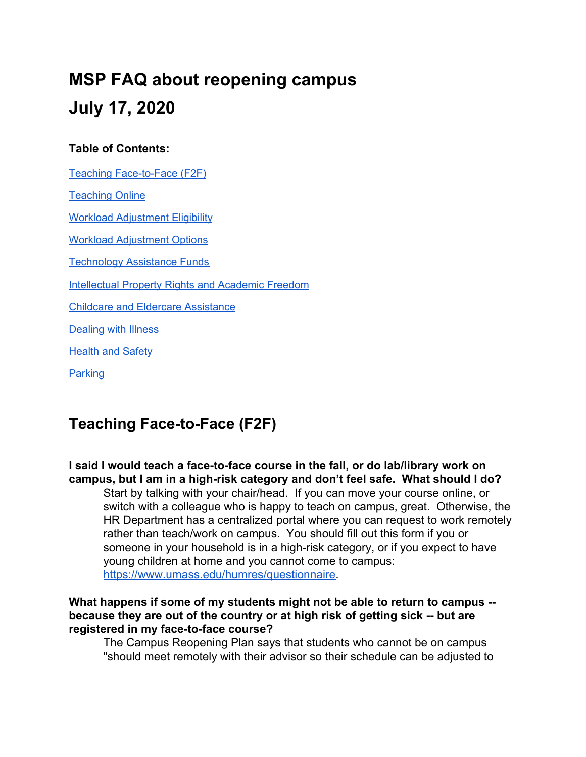# **MSP FAQ about reopening campus July 17, 2020**

#### **Table of Contents:**

Teaching [Face-to-Face](#page-0-0) (F2F) [Teaching](#page-1-0) Online Workload [Adjustment](#page-3-0) Eligibility Workload [Adjustment](#page-5-0) Options [Technology](#page-6-0) Assistance Funds [Intellectual](#page-7-0) Property Rights and Academic Freedom Childcare and Eldercare [Assistance](#page-8-0) Dealing with Illness **[Health](#page-9-0) and Safety [Parking](#page-11-0)** 

# <span id="page-0-0"></span>**Teaching Face-to-Face (F2F)**

**I said I would teach a face-to-face course in the fall, or do lab/library work on campus, but I am in a high-risk category and don't feel safe. What should I do?** Start by talking with your chair/head. If you can move your course online, or switch with a colleague who is happy to teach on campus, great. Otherwise, the HR Department has a centralized portal where you can request to work remotely rather than teach/work on campus. You should fill out this form if you or someone in your household is in a high-risk category, or if you expect to have young children at home and you cannot come to campus: [https://www.umass.edu/humres/questionnaire.](https://www.umass.edu/humres/questionnaire)

#### **What happens if some of my students might not be able to return to campus - because they are out of the country or at high risk of getting sick -- but are registered in my face-to-face course?**

The Campus Reopening Plan says that students who cannot be on campus "should meet remotely with their advisor so their schedule can be adjusted to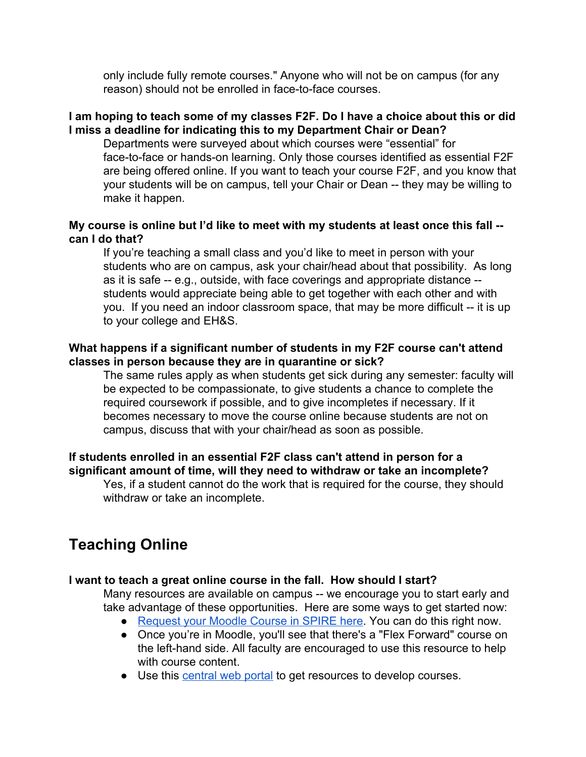only include fully remote courses." Anyone who will not be on campus (for any reason) should not be enrolled in face-to-face courses.

#### **I am hoping to teach some of my classes F2F. Do I have a choice about this or did I miss a deadline for indicating this to my Department Chair or Dean?**

Departments were surveyed about which courses were "essential" for face-to-face or hands-on learning. Only those courses identified as essential F2F are being offered online. If you want to teach your course F2F, and you know that your students will be on campus, tell your Chair or Dean -- they may be willing to make it happen.

#### **My course is online but I'd like to meet with my students at least once this fall - can I do that?**

If you're teaching a small class and you'd like to meet in person with your students who are on campus, ask your chair/head about that possibility. As long as it is safe -- e.g., outside, with face coverings and appropriate distance - students would appreciate being able to get together with each other and with you. If you need an indoor classroom space, that may be more difficult -- it is up to your college and EH&S.

#### **What happens if a significant number of students in my F2F course can't attend classes in person because they are in quarantine or sick?**

The same rules apply as when students get sick during any semester: faculty will be expected to be compassionate, to give students a chance to complete the required coursework if possible, and to give incompletes if necessary. If it becomes necessary to move the course online because students are not on campus, discuss that with your chair/head as soon as possible.

#### **If students enrolled in an essential F2F class can't attend in person for a significant amount of time, will they need to withdraw or take an incomplete?**

Yes, if a student cannot do the work that is required for the course, they should withdraw or take an incomplete.

# <span id="page-1-0"></span>**Teaching Online**

#### **I want to teach a great online course in the fall. How should I start?**

Many resources are available on campus -- we encourage you to start early and take advantage of these opportunities. Here are some ways to get started now:

- [Request your Moodle Course in SPIRE here.](https://t.e2ma.net/click/gdpcjd/smovcw/orpkv0) You can do this right now.
- Once you're in Moodle, you'll see that there's a "Flex Forward" course on the left-hand side. All faculty are encouraged to use this resource to help with course content.
- Use this [central web portal](https://t.e2ma.net/click/gdpcjd/smovcw/wlmkv0) to get resources to develop courses.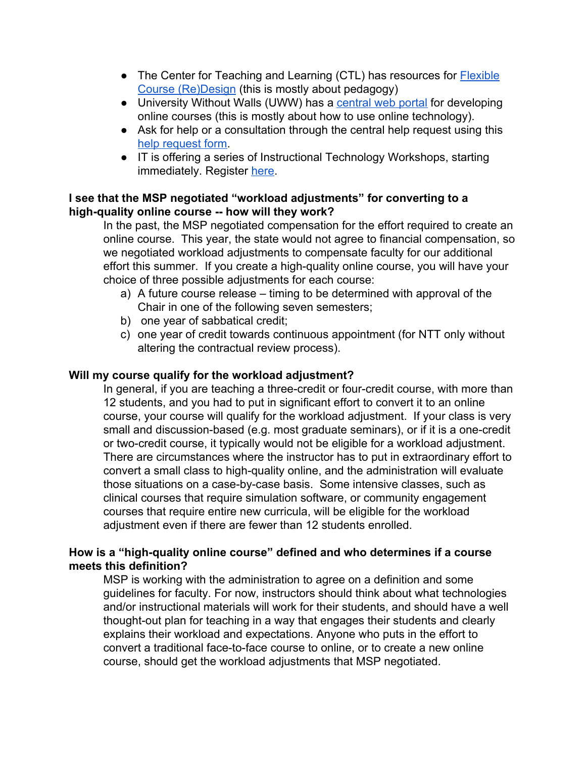- The Center for Teaching and Learning (CTL) has resources for **[Flexible](https://t.e2ma.net/click/gdpcjd/smovcw/04rkv0)** [Course \(Re\)Design](https://t.e2ma.net/click/gdpcjd/smovcw/04rkv0) (this is mostly about pedagogy)
- University Without Walls (UWW) has a [central web portal](https://t.e2ma.net/click/gdpcjd/smovcw/wlmkv0) for developing online courses (this is mostly about how to use online technology).
- Ask for help or a consultation through the central help request using this [help request form.](https://t.e2ma.net/click/gdpcjd/smovcw/s6nkv0)
- IT is offering a series of Instructional Technology Workshops, starting immediately. Register [her](https://etna.it.umass.edu/public/workshops?_ga=2.245192645.1378967074.1594329840-1659083849.1568478809)e.

#### **I see that the MSP negotiated "workload adjustments" for converting to a high-quality online course -- how will they work?**

In the past, the MSP negotiated compensation for the effort required to create an online course. This year, the state would not agree to financial compensation, so we negotiated workload adjustments to compensate faculty for our additional effort this summer. If you create a high-quality online course, you will have your choice of three possible adjustments for each course:

- a) A future course release timing to be determined with approval of the Chair in one of the following seven semesters;
- b) one year of sabbatical credit;
- c) one year of credit towards continuous appointment (for NTT only without altering the contractual review process).

#### **Will my course qualify for the workload adjustment?**

In general, if you are teaching a three-credit or four-credit course, with more than 12 students, and you had to put in significant effort to convert it to an online course, your course will qualify for the workload adjustment. If your class is very small and discussion-based (e.g. most graduate seminars), or if it is a one-credit or two-credit course, it typically would not be eligible for a workload adjustment. There are circumstances where the instructor has to put in extraordinary effort to convert a small class to high-quality online, and the administration will evaluate those situations on a case-by-case basis. Some intensive classes, such as clinical courses that require simulation software, or community engagement courses that require entire new curricula, will be eligible for the workload adjustment even if there are fewer than 12 students enrolled.

#### **How is a "high-quality online course" defined and who determines if a course meets this definition?**

MSP is working with the administration to agree on a definition and some guidelines for faculty. For now, instructors should think about what technologies and/or instructional materials will work for their students, and should have a well thought-out plan for teaching in a way that engages their students and clearly explains their workload and expectations. Anyone who puts in the effort to convert a traditional face-to-face course to online, or to create a new online course, should get the workload adjustments that MSP negotiated.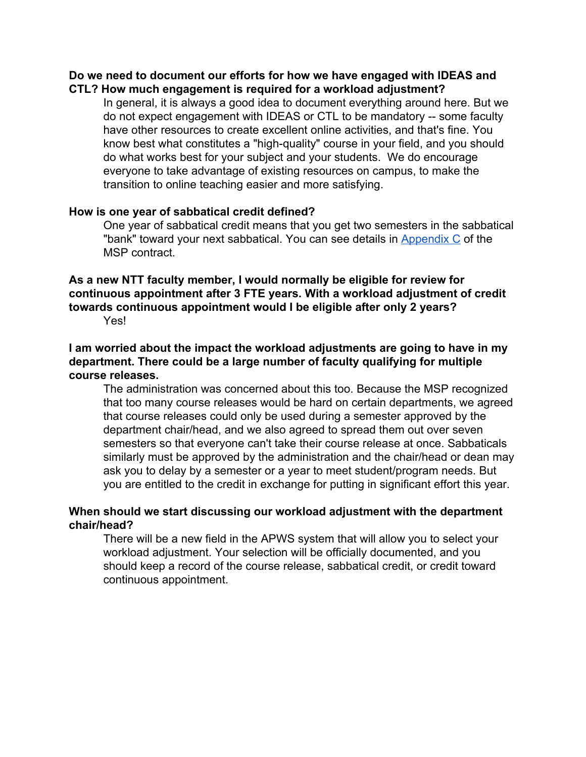#### **Do we need to document our efforts for how we have engaged with IDEAS and CTL? How much engagement is required for a workload adjustment?**

In general, it is always a good idea to document everything around here. But we do not expect engagement with IDEAS or CTL to be mandatory -- some faculty have other resources to create excellent online activities, and that's fine. You know best what constitutes a "high-quality" course in your field, and you should do what works best for your subject and your students. We do encourage everyone to take advantage of existing resources on campus, to make the transition to online teaching easier and more satisfying.

#### **How is one year of sabbatical credit defined?**

One year of sabbatical credit means that you get two semesters in the sabbatical "bank" toward your next sabbatical. You can see details in [Appendix C](https://umassmsp.org/files/Appendix%20C%20final.pdf) of the MSP contract.

### **As a new NTT faculty member, I would normally be eligible for review for continuous appointment after 3 FTE years. With a workload adjustment of credit towards continuous appointment would I be eligible after only 2 years?**

Yes!

#### **I am worried about the impact the workload adjustments are going to have in my department. There could be a large number of faculty qualifying for multiple course releases.**

The administration was concerned about this too. Because the MSP recognized that too many course releases would be hard on certain departments, we agreed that course releases could only be used during a semester approved by the department chair/head, and we also agreed to spread them out over seven semesters so that everyone can't take their course release at once. Sabbaticals similarly must be approved by the administration and the chair/head or dean may ask you to delay by a semester or a year to meet student/program needs. But you are entitled to the credit in exchange for putting in significant effort this year.

#### **When should we start discussing our workload adjustment with the department chair/head?**

<span id="page-3-0"></span>There will be a new field in the APWS system that will allow you to select your workload adjustment. Your selection will be officially documented, and you should keep a record of the course release, sabbatical credit, or credit toward continuous appointment.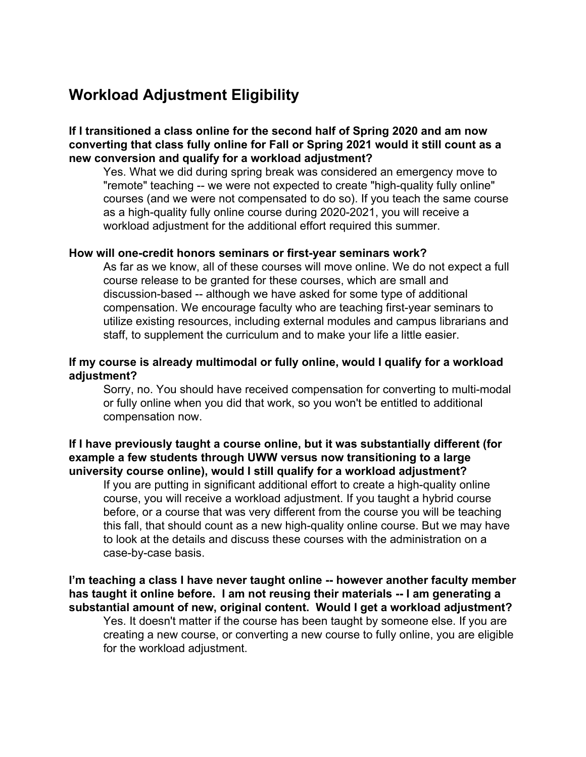# **Workload Adjustment Eligibility**

**If I transitioned a class online for the second half of Spring 2020 and am now converting that class fully online for Fall or Spring 2021 would it still count as a new conversion and qualify for a workload adjustment?**

Yes. What we did during spring break was considered an emergency move to "remote" teaching -- we were not expected to create "high-quality fully online" courses (and we were not compensated to do so). If you teach the same course as a high-quality fully online course during 2020-2021, you will receive a workload adjustment for the additional effort required this summer.

#### **How will one-credit honors seminars or first-year seminars work?**

As far as we know, all of these courses will move online. We do not expect a full course release to be granted for these courses, which are small and discussion-based -- although we have asked for some type of additional compensation. We encourage faculty who are teaching first-year seminars to utilize existing resources, including external modules and campus librarians and staff, to supplement the curriculum and to make your life a little easier.

#### **If my course is already multimodal or fully online, would I qualify for a workload adjustment?**

Sorry, no. You should have received compensation for converting to multi-modal or fully online when you did that work, so you won't be entitled to additional compensation now.

#### **If I have previously taught a course online, but it was substantially different (for example a few students through UWW versus now transitioning to a large university course online), would I still qualify for a workload adjustment?**

If you are putting in significant additional effort to create a high-quality online course, you will receive a workload adjustment. If you taught a hybrid course before, or a course that was very different from the course you will be teaching this fall, that should count as a new high-quality online course. But we may have to look at the details and discuss these courses with the administration on a case-by-case basis.

#### **I'm teaching a class I have never taught online -- however another faculty member has taught it online before. I am not reusing their materials -- I am generating a substantial amount of new, original content. Would I get a workload adjustment?**

Yes. It doesn't matter if the course has been taught by someone else. If you are creating a new course, or converting a new course to fully online, you are eligible for the workload adjustment.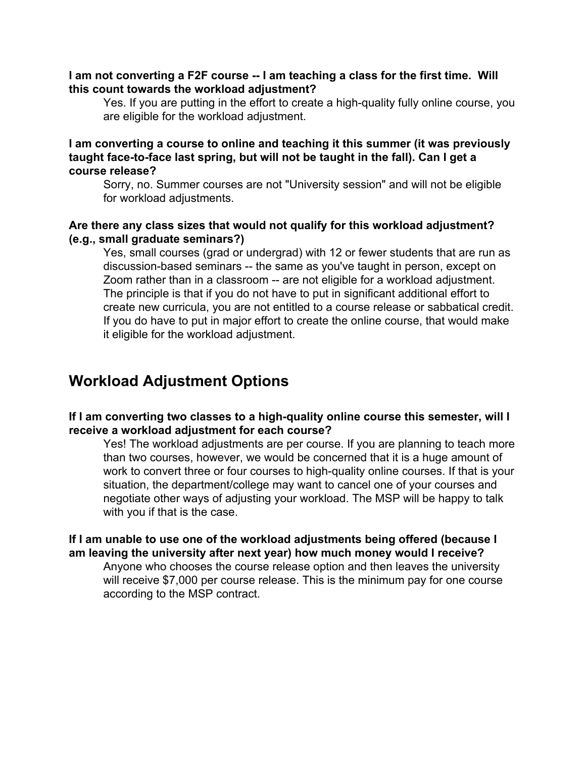#### **I am not converting a F2F course -- I am teaching a class for the first time. Will this count towards the workload adjustment?**

Yes. If you are putting in the effort to create a high-quality fully online course, you are eligible for the workload adjustment.

#### **I am converting a course to online and teaching it this summer (it was previously taught face-to-face last spring, but will not be taught in the fall). Can I get a course release?**

Sorry, no. Summer courses are not "University session" and will not be eligible for workload adjustments.

#### **Are there any class sizes that would not qualify for this workload adjustment? (e.g., small graduate seminars?)**

Yes, small courses (grad or undergrad) with 12 or fewer students that are run as discussion-based seminars -- the same as you've taught in person, except on Zoom rather than in a classroom -- are not eligible for a workload adjustment. The principle is that if you do not have to put in significant additional effort to create new curricula, you are not entitled to a course release or sabbatical credit. If you do have to put in major effort to create the online course, that would make it eligible for the workload adjustment.

# <span id="page-5-0"></span>**Workload Adjustment Options**

#### **If I am converting two classes to a high-quality online course this semester, will I receive a workload adjustment for each course?**

Yes! The workload adjustments are per course. If you are planning to teach more than two courses, however, we would be concerned that it is a huge amount of work to convert three or four courses to high-quality online courses. If that is your situation, the department/college may want to cancel one of your courses and negotiate other ways of adjusting your workload. The MSP will be happy to talk with you if that is the case.

#### **If I am unable to use one of the workload adjustments being offered (because I am leaving the university after next year) how much money would I receive?**

Anyone who chooses the course release option and then leaves the university will receive \$7,000 per course release. This is the minimum pay for one course according to the MSP contract.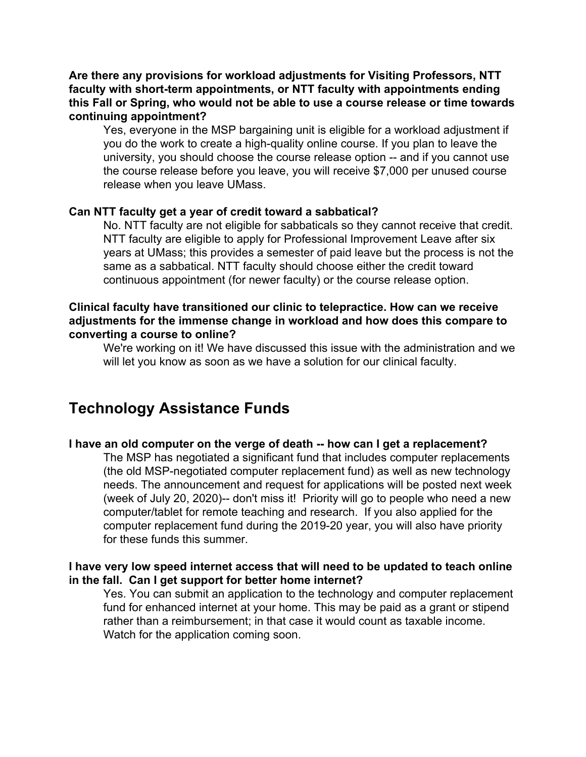**Are there any provisions for workload adjustments for Visiting Professors, NTT faculty with short-term appointments, or NTT faculty with appointments ending this Fall or Spring, who would not be able to use a course release or time towards continuing appointment?**

Yes, everyone in the MSP bargaining unit is eligible for a workload adjustment if you do the work to create a high-quality online course. If you plan to leave the university, you should choose the course release option -- and if you cannot use the course release before you leave, you will receive \$7,000 per unused course release when you leave UMass.

#### **Can NTT faculty get a year of credit toward a sabbatical?**

No. NTT faculty are not eligible for sabbaticals so they cannot receive that credit. NTT faculty are eligible to apply for Professional Improvement Leave after six years at UMass; this provides a semester of paid leave but the process is not the same as a sabbatical. NTT faculty should choose either the credit toward continuous appointment (for newer faculty) or the course release option.

#### **Clinical faculty have transitioned our clinic to telepractice. How can we receive adjustments for the immense change in workload and how does this compare to converting a course to online?**

We're working on it! We have discussed this issue with the administration and we will let you know as soon as we have a solution for our clinical faculty.

## <span id="page-6-0"></span>**Technology Assistance Funds**

#### **I have an old computer on the verge of death -- how can I get a replacement?**

The MSP has negotiated a significant fund that includes computer replacements (the old MSP-negotiated computer replacement fund) as well as new technology needs. The announcement and request for applications will be posted next week (week of July 20, 2020)-- don't miss it! Priority will go to people who need a new computer/tablet for remote teaching and research. If you also applied for the computer replacement fund during the 2019-20 year, you will also have priority for these funds this summer.

#### **I have very low speed internet access that will need to be updated to teach online in the fall. Can I get support for better home internet?**

Yes. You can submit an application to the technology and computer replacement fund for enhanced internet at your home. This may be paid as a grant or stipend rather than a reimbursement; in that case it would count as taxable income. Watch for the application coming soon.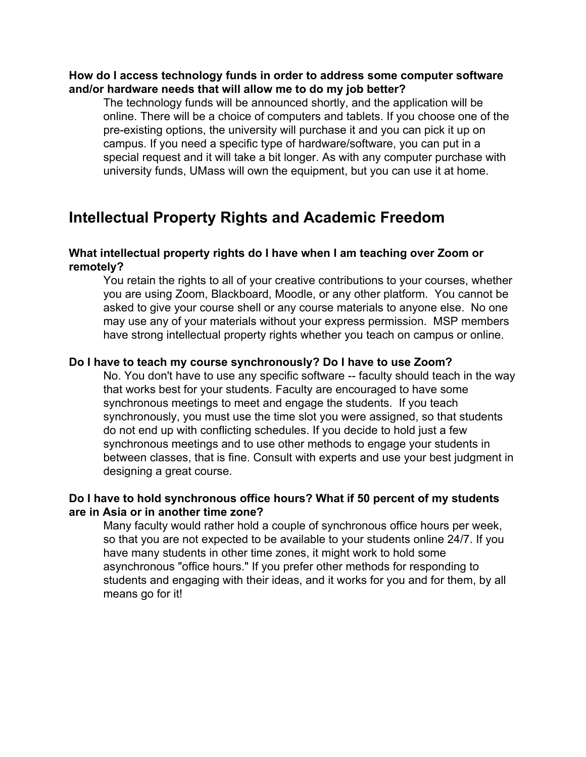#### **How do I access technology funds in order to address some computer software and/or hardware needs that will allow me to do my job better?**

The technology funds will be announced shortly, and the application will be online. There will be a choice of computers and tablets. If you choose one of the pre-existing options, the university will purchase it and you can pick it up on campus. If you need a specific type of hardware/software, you can put in a special request and it will take a bit longer. As with any computer purchase with university funds, UMass will own the equipment, but you can use it at home.

# <span id="page-7-0"></span>**Intellectual Property Rights and Academic Freedom**

#### **What intellectual property rights do I have when I am teaching over Zoom or remotely?**

You retain the rights to all of your creative contributions to your courses, whether you are using Zoom, Blackboard, Moodle, or any other platform. You cannot be asked to give your course shell or any course materials to anyone else. No one may use any of your materials without your express permission. MSP members have strong intellectual property rights whether you teach on campus or online.

#### **Do I have to teach my course synchronously? Do I have to use Zoom?**

No. You don't have to use any specific software -- faculty should teach in the way that works best for your students. Faculty are encouraged to have some synchronous meetings to meet and engage the students. If you teach synchronously, you must use the time slot you were assigned, so that students do not end up with conflicting schedules. If you decide to hold just a few synchronous meetings and to use other methods to engage your students in between classes, that is fine. Consult with experts and use your best judgment in designing a great course.

#### **Do I have to hold synchronous office hours? What if 50 percent of my students are in Asia or in another time zone?**

Many faculty would rather hold a couple of synchronous office hours per week, so that you are not expected to be available to your students online 24/7. If you have many students in other time zones, it might work to hold some asynchronous "office hours." If you prefer other methods for responding to students and engaging with their ideas, and it works for you and for them, by all means go for it!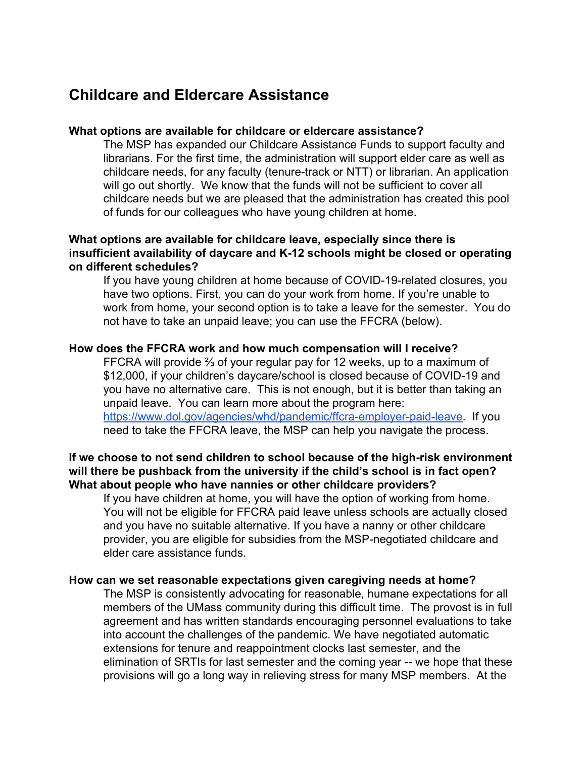## <span id="page-8-0"></span>**Childcare and Eldercare Assistance**

#### **What options are available for childcare or eldercare assistance?**

The MSP has expanded our Childcare Assistance Funds to support faculty and librarians. For the first time, the administration will support elder care as well as childcare needs, for any faculty (tenure-track or NTT) or librarian. An application will go out shortly. We know that the funds will not be sufficient to cover all childcare needs but we are pleased that the administration has created this pool of funds for our colleagues who have young children at home.

#### **What options are available for childcare leave, especially since there is insufficient availability of daycare and K-12 schools might be closed or operating on different schedules?**

If you have young children at home because of COVID-19-related closures, you have two options. First, you can do your work from home. If you're unable to work from home, your second option is to take a leave for the semester. You do not have to take an unpaid leave; you can use the FFCRA (below).

#### **How does the FFCRA work and how much compensation will I receive?**

FFCRA will provide ⅔ of your regular pay for 12 weeks, up to a maximum of \$12,000, if your children's daycare/school is closed because of COVID-19 and you have no alternative care. This is not enough, but it is better than taking an unpaid leave. You can learn more about the program here: [https://www.dol.gov/agencies/whd/pandemic/ffcra-employer-paid-leave.](https://www.dol.gov/agencies/whd/pandemic/ffcra-employer-paid-leave) If you need to take the FFCRA leave, the MSP can help you navigate the process.

#### **If we choose to not send children to school because of the high-risk environment will there be pushback from the university if the child's school is in fact open? What about people who have nannies or other childcare providers?**

If you have children at home, you will have the option of working from home. You will not be eligible for FFCRA paid leave unless schools are actually closed and you have no suitable alternative. If you have a nanny or other childcare provider, you are eligible for subsidies from the MSP-negotiated childcare and elder care assistance funds.

#### **How can we set reasonable expectations given caregiving needs at home?**

The MSP is consistently advocating for reasonable, humane expectations for all members of the UMass community during this difficult time. The provost is in full agreement and has written standards encouraging personnel evaluations to take into account the challenges of the pandemic. We have negotiated automatic extensions for tenure and reappointment clocks last semester, and the elimination of SRTIs for last semester and the coming year -- we hope that these provisions will go a long way in relieving stress for many MSP members. At the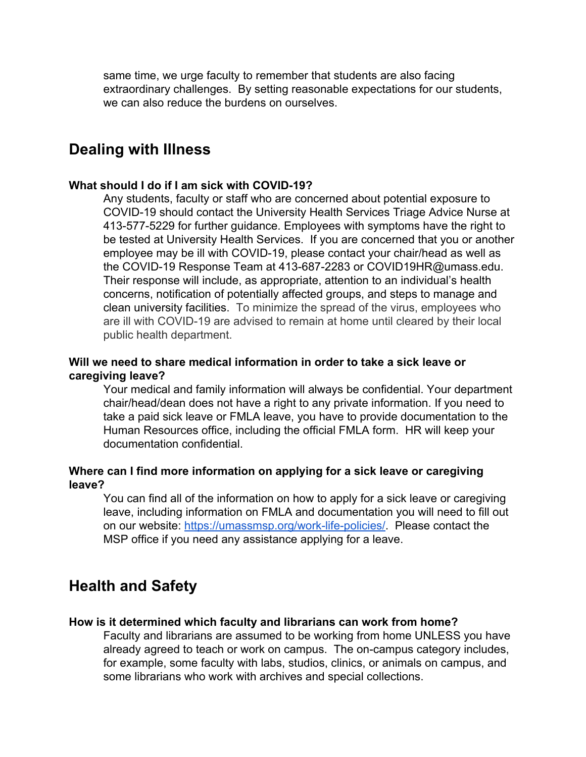same time, we urge faculty to remember that students are also facing extraordinary challenges. By setting reasonable expectations for our students, we can also reduce the burdens on ourselves.

### **Dealing with Illness**

#### **What should I do if I am sick with COVID-19?**

Any students, faculty or staff who are concerned about potential exposure to COVID-19 should contact the University Health Services Triage Advice Nurse at 413-577-5229 for further guidance. Employees with symptoms have the right to be tested at University Health Services. If you are concerned that you or another employee may be ill with COVID-19, please contact your chair/head as well as the COVID-19 Response Team at 413-687-2283 or COVID19HR@umass.edu. Their response will include, as appropriate, attention to an individual's health concerns, notification of potentially affected groups, and steps to manage and clean university facilities. To minimize the spread of the virus, employees who are ill with COVID-19 are advised to remain at home until cleared by their local public health department.

#### **Will we need to share medical information in order to take a sick leave or caregiving leave?**

Your medical and family information will always be confidential. Your department chair/head/dean does not have a right to any private information. If you need to take a paid sick leave or FMLA leave, you have to provide documentation to the Human Resources office, including the official FMLA form. HR will keep your documentation confidential.

#### **Where can I find more information on applying for a sick leave or caregiving leave?**

You can find all of the information on how to apply for a sick leave or caregiving leave, including information on FMLA and documentation you will need to fill out on our website: [https://umassmsp.org/work-life-policies/.](https://umassmsp.org/work-life-policies/) Please contact the MSP office if you need any assistance applying for a leave.

## <span id="page-9-0"></span>**Health and Safety**

#### **How is it determined which faculty and librarians can work from home?**

Faculty and librarians are assumed to be working from home UNLESS you have already agreed to teach or work on campus. The on-campus category includes, for example, some faculty with labs, studios, clinics, or animals on campus, and some librarians who work with archives and special collections.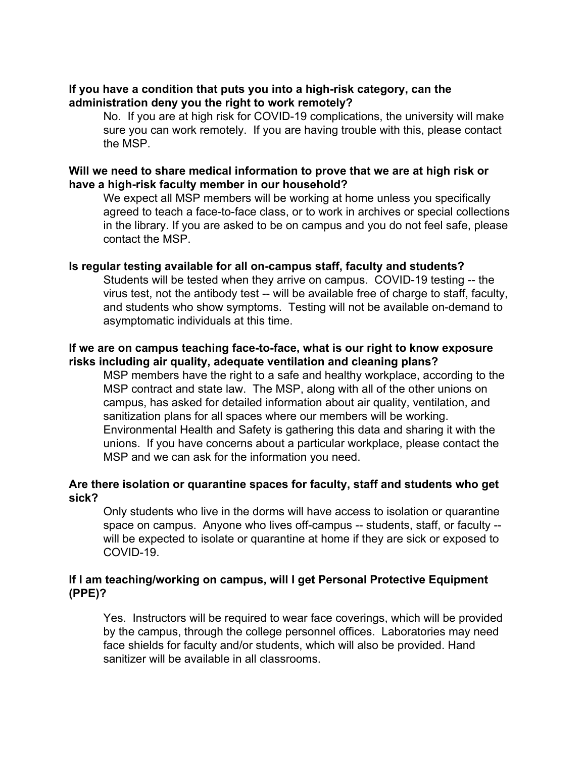#### **If you have a condition that puts you into a high-risk category, can the administration deny you the right to work remotely?**

No. If you are at high risk for COVID-19 complications, the university will make sure you can work remotely. If you are having trouble with this, please contact the MSP.

#### **Will we need to share medical information to prove that we are at high risk or have a high-risk faculty member in our household?**

We expect all MSP members will be working at home unless you specifically agreed to teach a face-to-face class, or to work in archives or special collections in the library. If you are asked to be on campus and you do not feel safe, please contact the MSP.

#### **Is regular testing available for all on-campus staff, faculty and students?**

Students will be tested when they arrive on campus. COVID-19 testing -- the virus test, not the antibody test -- will be available free of charge to staff, faculty, and students who show symptoms. Testing will not be available on-demand to asymptomatic individuals at this time.

#### **If we are on campus teaching face-to-face, what is our right to know exposure risks including air quality, adequate ventilation and cleaning plans?**

MSP members have the right to a safe and healthy workplace, according to the MSP contract and state law. The MSP, along with all of the other unions on campus, has asked for detailed information about air quality, ventilation, and sanitization plans for all spaces where our members will be working. Environmental Health and Safety is gathering this data and sharing it with the unions. If you have concerns about a particular workplace, please contact the MSP and we can ask for the information you need.

#### **Are there isolation or quarantine spaces for faculty, staff and students who get sick?**

Only students who live in the dorms will have access to isolation or quarantine space on campus. Anyone who lives off-campus -- students, staff, or faculty - will be expected to isolate or quarantine at home if they are sick or exposed to COVID-19.

#### **If I am teaching/working on campus, will I get Personal Protective Equipment (PPE)?**

Yes. Instructors will be required to wear face coverings, which will be provided by the campus, through the college personnel offices. Laboratories may need face shields for faculty and/or students, which will also be provided. Hand sanitizer will be available in all classrooms.